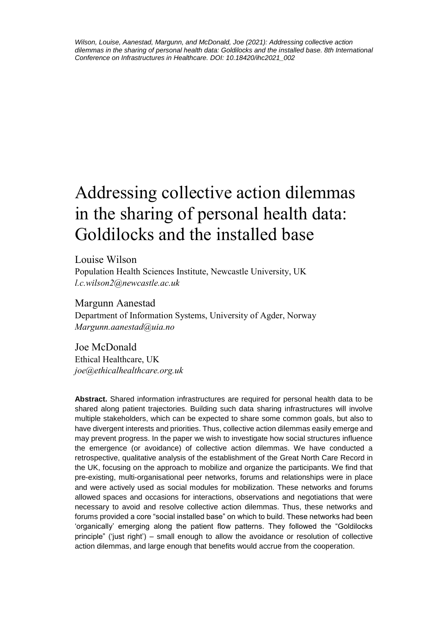# Addressing collective action dilemmas in the sharing of personal health data: Goldilocks and the installed base

Louise Wilson Population Health Sciences Institute, Newcastle University, UK *l.c.wilson2@newcastle.ac.uk*

Margunn Aanestad Department of Information Systems, University of Agder, Norway *Margunn.aanestad@uia.no*

Joe McDonald Ethical Healthcare, UK *joe@ethicalhealthcare.org.uk*

**Abstract.** Shared information infrastructures are required for personal health data to be shared along patient trajectories. Building such data sharing infrastructures will involve multiple stakeholders, which can be expected to share some common goals, but also to have divergent interests and priorities. Thus, collective action dilemmas easily emerge and may prevent progress. In the paper we wish to investigate how social structures influence the emergence (or avoidance) of collective action dilemmas. We have conducted a retrospective, qualitative analysis of the establishment of the Great North Care Record in the UK, focusing on the approach to mobilize and organize the participants. We find that pre-existing, multi-organisational peer networks, forums and relationships were in place and were actively used as social modules for mobilization. These networks and forums allowed spaces and occasions for interactions, observations and negotiations that were necessary to avoid and resolve collective action dilemmas. Thus, these networks and forums provided a core "social installed base" on which to build. These networks had been 'organically' emerging along the patient flow patterns. They followed the "Goldilocks principle" ('just right') – small enough to allow the avoidance or resolution of collective action dilemmas, and large enough that benefits would accrue from the cooperation.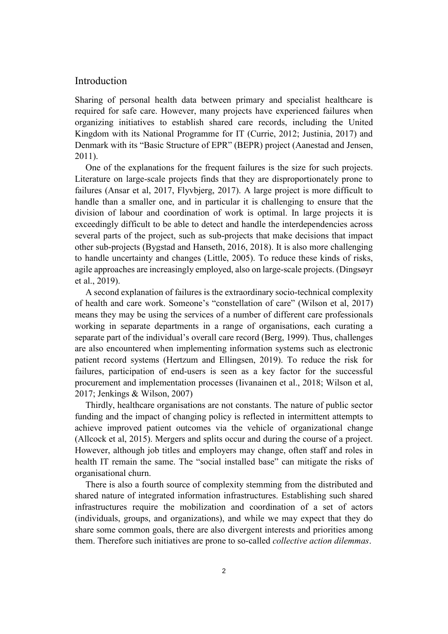# Introduction

Sharing of personal health data between primary and specialist healthcare is required for safe care. However, many projects have experienced failures when organizing initiatives to establish shared care records, including the United Kingdom with its National Programme for IT (Currie, 2012; Justinia, 2017) and Denmark with its "Basic Structure of EPR" (BEPR) project (Aanestad and Jensen, 2011).

One of the explanations for the frequent failures is the size for such projects. Literature on large-scale projects finds that they are disproportionately prone to failures (Ansar et al, 2017, Flyvbjerg, 2017). A large project is more difficult to handle than a smaller one, and in particular it is challenging to ensure that the division of labour and coordination of work is optimal. In large projects it is exceedingly difficult to be able to detect and handle the interdependencies across several parts of the project, such as sub-projects that make decisions that impact other sub-projects (Bygstad and Hanseth, 2016, 2018). It is also more challenging to handle uncertainty and changes (Little, 2005). To reduce these kinds of risks, agile approaches are increasingly employed, also on large-scale projects. (Dingsøyr et al., 2019).

A second explanation of failures is the extraordinary socio-technical complexity of health and care work. Someone's "constellation of care" (Wilson et al, 2017) means they may be using the services of a number of different care professionals working in separate departments in a range of organisations, each curating a separate part of the individual's overall care record (Berg, 1999). Thus, challenges are also encountered when implementing information systems such as electronic patient record systems (Hertzum and Ellingsen, 2019). To reduce the risk for failures, participation of end-users is seen as a key factor for the successful procurement and implementation processes (Iivanainen et al., 2018; Wilson et al, 2017; Jenkings & Wilson, 2007)

Thirdly, healthcare organisations are not constants. The nature of public sector funding and the impact of changing policy is reflected in intermittent attempts to achieve improved patient outcomes via the vehicle of organizational change (Allcock et al, 2015). Mergers and splits occur and during the course of a project. However, although job titles and employers may change, often staff and roles in health IT remain the same. The "social installed base" can mitigate the risks of organisational churn.

There is also a fourth source of complexity stemming from the distributed and shared nature of integrated information infrastructures. Establishing such shared infrastructures require the mobilization and coordination of a set of actors (individuals, groups, and organizations), and while we may expect that they do share some common goals, there are also divergent interests and priorities among them. Therefore such initiatives are prone to so-called *collective action dilemmas*.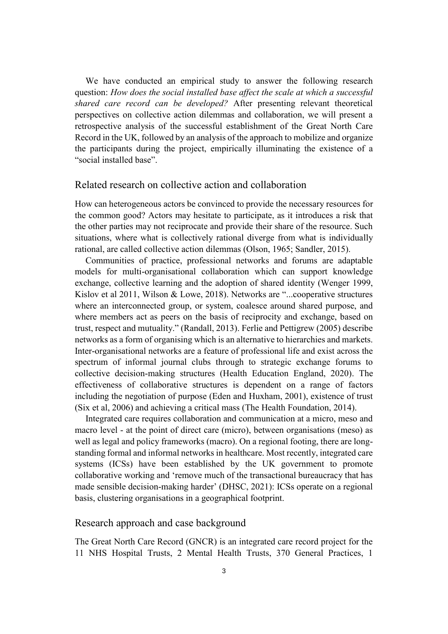We have conducted an empirical study to answer the following research question: *How does the social installed base affect the scale at which a successful shared care record can be developed?* After presenting relevant theoretical perspectives on collective action dilemmas and collaboration, we will present a retrospective analysis of the successful establishment of the Great North Care Record in the UK, followed by an analysis of the approach to mobilize and organize the participants during the project, empirically illuminating the existence of a "social installed base".

#### Related research on collective action and collaboration

How can heterogeneous actors be convinced to provide the necessary resources for the common good? Actors may hesitate to participate, as it introduces a risk that the other parties may not reciprocate and provide their share of the resource. Such situations, where what is collectively rational diverge from what is individually rational, are called collective action dilemmas (Olson, 1965; Sandler, 2015).

Communities of practice, professional networks and forums are adaptable models for multi-organisational collaboration which can support knowledge exchange, collective learning and the adoption of shared identity (Wenger 1999, Kislov et al 2011, Wilson & Lowe, 2018). Networks are "...cooperative structures where an interconnected group, or system, coalesce around shared purpose, and where members act as peers on the basis of reciprocity and exchange, based on trust, respect and mutuality." (Randall, 2013). Ferlie and Pettigrew (2005) describe networks as a form of organising which is an alternative to hierarchies and markets. Inter-organisational networks are a feature of professional life and exist across the spectrum of informal journal clubs through to strategic exchange forums to collective decision-making structures (Health Education England, 2020). The effectiveness of collaborative structures is dependent on a range of factors including the negotiation of purpose (Eden and Huxham, 2001), existence of trust (Six et al, 2006) and achieving a critical mass (The Health Foundation, 2014).

Integrated care requires collaboration and communication at a micro, meso and macro level - at the point of direct care (micro), between organisations (meso) as well as legal and policy frameworks (macro). On a regional footing, there are longstanding formal and informal networks in healthcare. Most recently, integrated care systems (ICSs) have been established by the UK government to promote collaborative working and 'remove much of the transactional bureaucracy that has made sensible decision-making harder' (DHSC, 2021): ICSs operate on a regional basis, clustering organisations in a geographical footprint.

#### Research approach and case background

The Great North Care Record (GNCR) is an integrated care record project for the 11 NHS Hospital Trusts, 2 Mental Health Trusts, 370 General Practices, 1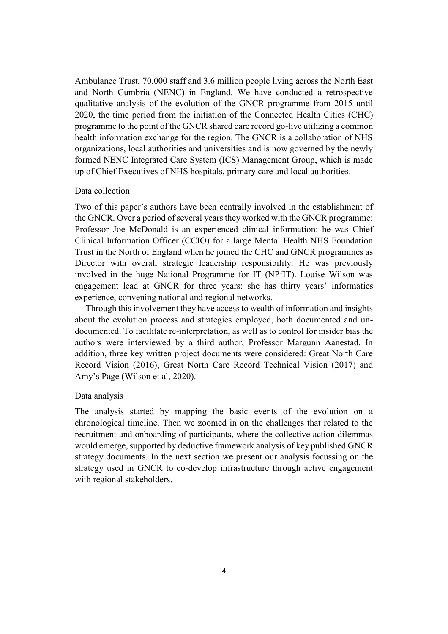Ambulance Trust, 70,000 staff and 3.6 million people living across the North East and North Cumbria (NENC) in England. We have conducted a retrospective qualitative analysis of the evolution of the GNCR programme from 2015 until 2020, the time period from the initiation of the Connected Health Cities (CHC) programme to the point of the GNCR shared care record go-live utilizing a common health information exchange for the region. The GNCR is a collaboration of NHS organizations, local authorities and universities and is now governed by the newly formed NENC Integrated Care System (ICS) Management Group, which is made up of Chief Executives of NHS hospitals, primary care and local authorities.

#### Data collection

Two of this paper's authors have been centrally involved in the establishment of the GNCR. Over a period of several years they worked with the GNCR programme: Professor Joe McDonald is an experienced clinical information: he was Chief Clinical Information Officer (CCIO) for a large Mental Health NHS Foundation Trust in the North of England when he joined the CHC and GNCR programmes as Director with overall strategic leadership responsibility. He was previously involved in the huge National Programme for IT (NPfIT). Louise Wilson was engagement lead at GNCR for three years: she has thirty years' informatics experience, convening national and regional networks.

Through this involvement they have access to wealth of information and insights about the evolution process and strategies employed, both documented and undocumented. To facilitate re-interpretation, as well as to control for insider bias the authors were interviewed by a third author, Professor Margunn Aanestad. In addition, three key written project documents were considered: Great North Care Record Vision (2016), Great North Care Record Technical Vision (2017) and Amy's Page (Wilson et al, 2020).

#### Data analysis

The analysis started by mapping the basic events of the evolution on a chronological timeline. Then we zoomed in on the challenges that related to the recruitment and onboarding of participants, where the collective action dilemmas would emerge, supported by deductive framework analysis of key published GNCR strategy documents. In the next section we present our analysis focussing on the strategy used in GNCR to co-develop infrastructure through active engagement with regional stakeholders.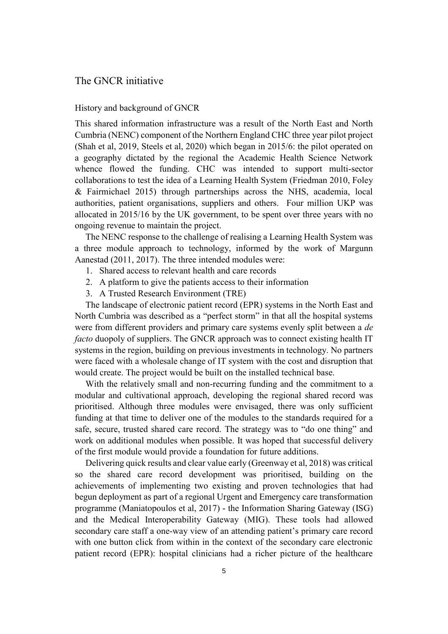#### The GNCR initiative

## History and background of GNCR

This shared information infrastructure was a result of the North East and North Cumbria (NENC) component of the Northern England CHC three year pilot project (Shah et al, 2019, Steels et al, 2020) which began in 2015/6: the pilot operated on a geography dictated by the regional the Academic Health Science Network whence flowed the funding. CHC was intended to support multi-sector collaborations to test the idea of a Learning Health System (Friedman 2010, Foley & Fairmichael 2015) through partnerships across the NHS, academia, local authorities, patient organisations, suppliers and others. Four million UKP was allocated in 2015/16 by the UK government, to be spent over three years with no ongoing revenue to maintain the project.

The NENC response to the challenge of realising a Learning Health System was a three module approach to technology, informed by the work of Margunn Aanestad (2011, 2017). The three intended modules were:

- 1. Shared access to relevant health and care records
- 2. A platform to give the patients access to their information
- 3. A Trusted Research Environment (TRE)

The landscape of electronic patient record (EPR) systems in the North East and North Cumbria was described as a "perfect storm" in that all the hospital systems were from different providers and primary care systems evenly split between a *de facto* duopoly of suppliers. The GNCR approach was to connect existing health IT systems in the region, building on previous investments in technology. No partners were faced with a wholesale change of IT system with the cost and disruption that would create. The project would be built on the installed technical base.

With the relatively small and non-recurring funding and the commitment to a modular and cultivational approach, developing the regional shared record was prioritised. Although three modules were envisaged, there was only sufficient funding at that time to deliver one of the modules to the standards required for a safe, secure, trusted shared care record. The strategy was to "do one thing" and work on additional modules when possible. It was hoped that successful delivery of the first module would provide a foundation for future additions.

Delivering quick results and clear value early (Greenway et al, 2018) was critical so the shared care record development was prioritised, building on the achievements of implementing two existing and proven technologies that had begun deployment as part of a regional Urgent and Emergency care transformation programme (Maniatopoulos et al, 2017) - the Information Sharing Gateway (ISG) and the Medical Interoperability Gateway (MIG). These tools had allowed secondary care staff a one-way view of an attending patient's primary care record with one button click from within in the context of the secondary care electronic patient record (EPR): hospital clinicians had a richer picture of the healthcare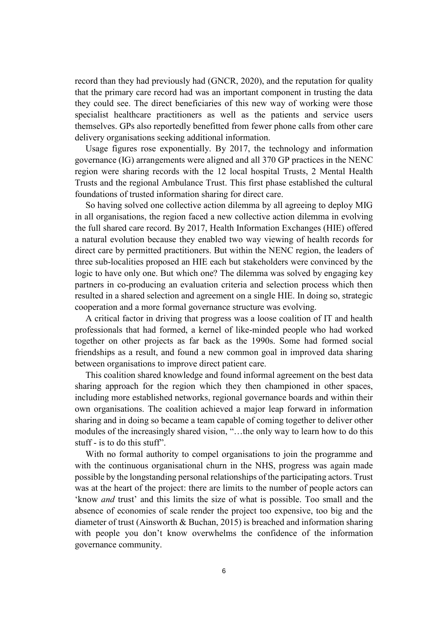record than they had previously had (GNCR, 2020), and the reputation for quality that the primary care record had was an important component in trusting the data they could see. The direct beneficiaries of this new way of working were those specialist healthcare practitioners as well as the patients and service users themselves. GPs also reportedly benefitted from fewer phone calls from other care delivery organisations seeking additional information.

Usage figures rose exponentially. By 2017, the technology and information governance (IG) arrangements were aligned and all 370 GP practices in the NENC region were sharing records with the 12 local hospital Trusts, 2 Mental Health Trusts and the regional Ambulance Trust. This first phase established the cultural foundations of trusted information sharing for direct care.

So having solved one collective action dilemma by all agreeing to deploy MIG in all organisations, the region faced a new collective action dilemma in evolving the full shared care record. By 2017, Health Information Exchanges (HIE) offered a natural evolution because they enabled two way viewing of health records for direct care by permitted practitioners. But within the NENC region, the leaders of three sub-localities proposed an HIE each but stakeholders were convinced by the logic to have only one. But which one? The dilemma was solved by engaging key partners in co-producing an evaluation criteria and selection process which then resulted in a shared selection and agreement on a single HIE. In doing so, strategic cooperation and a more formal governance structure was evolving.

A critical factor in driving that progress was a loose coalition of IT and health professionals that had formed, a kernel of like-minded people who had worked together on other projects as far back as the 1990s. Some had formed social friendships as a result, and found a new common goal in improved data sharing between organisations to improve direct patient care.

This coalition shared knowledge and found informal agreement on the best data sharing approach for the region which they then championed in other spaces, including more established networks, regional governance boards and within their own organisations. The coalition achieved a major leap forward in information sharing and in doing so became a team capable of coming together to deliver other modules of the increasingly shared vision, "…the only way to learn how to do this stuff - is to do this stuff".

With no formal authority to compel organisations to join the programme and with the continuous organisational churn in the NHS, progress was again made possible by the longstanding personal relationships of the participating actors. Trust was at the heart of the project: there are limits to the number of people actors can 'know *and* trust' and this limits the size of what is possible. Too small and the absence of economies of scale render the project too expensive, too big and the diameter of trust (Ainsworth & Buchan, 2015) is breached and information sharing with people you don't know overwhelms the confidence of the information governance community.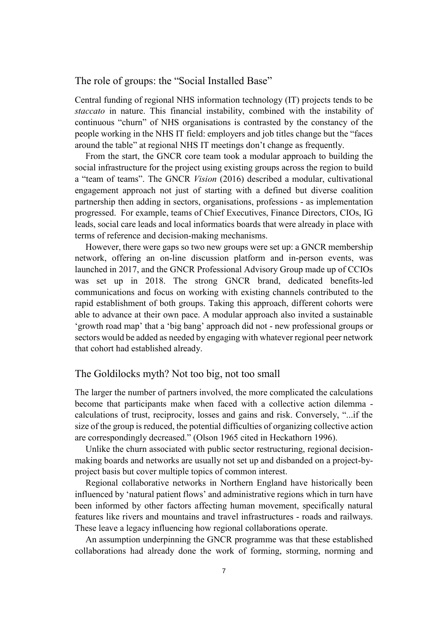### The role of groups: the "Social Installed Base"

Central funding of regional NHS information technology (IT) projects tends to be *staccato* in nature. This financial instability, combined with the instability of continuous "churn" of NHS organisations is contrasted by the constancy of the people working in the NHS IT field: employers and job titles change but the "faces around the table" at regional NHS IT meetings don't change as frequently.

From the start, the GNCR core team took a modular approach to building the social infrastructure for the project using existing groups across the region to build a "team of teams". The GNCR *Vision* (2016) described a modular, cultivational engagement approach not just of starting with a defined but diverse coalition partnership then adding in sectors, organisations, professions - as implementation progressed. For example, teams of Chief Executives, Finance Directors, CIOs, IG leads, social care leads and local informatics boards that were already in place with terms of reference and decision-making mechanisms.

However, there were gaps so two new groups were set up: a GNCR membership network, offering an on-line discussion platform and in-person events, was launched in 2017, and the GNCR Professional Advisory Group made up of CCIOs was set up in 2018. The strong GNCR brand, dedicated benefits-led communications and focus on working with existing channels contributed to the rapid establishment of both groups. Taking this approach, different cohorts were able to advance at their own pace. A modular approach also invited a sustainable 'growth road map' that a 'big bang' approach did not - new professional groups or sectors would be added as needed by engaging with whatever regional peer network that cohort had established already.

# The Goldilocks myth? Not too big, not too small

The larger the number of partners involved, the more complicated the calculations become that participants make when faced with a collective action dilemma calculations of trust, reciprocity, losses and gains and risk. Conversely, "...if the size of the group is reduced, the potential difficulties of organizing collective action are correspondingly decreased." (Olson 1965 cited in Heckathorn 1996).

Unlike the churn associated with public sector restructuring, regional decisionmaking boards and networks are usually not set up and disbanded on a project-byproject basis but cover multiple topics of common interest.

Regional collaborative networks in Northern England have historically been influenced by 'natural patient flows' and administrative regions which in turn have been informed by other factors affecting human movement, specifically natural features like rivers and mountains and travel infrastructures - roads and railways. These leave a legacy influencing how regional collaborations operate.

An assumption underpinning the GNCR programme was that these established collaborations had already done the work of forming, storming, norming and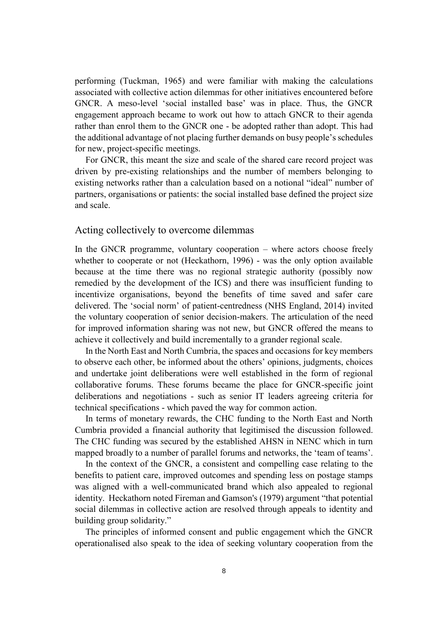performing (Tuckman, 1965) and were familiar with making the calculations associated with collective action dilemmas for other initiatives encountered before GNCR. A meso-level 'social installed base' was in place. Thus, the GNCR engagement approach became to work out how to attach GNCR to their agenda rather than enrol them to the GNCR one - be adopted rather than adopt. This had the additional advantage of not placing further demands on busy people's schedules for new, project-specific meetings.

For GNCR, this meant the size and scale of the shared care record project was driven by pre-existing relationships and the number of members belonging to existing networks rather than a calculation based on a notional "ideal" number of partners, organisations or patients: the social installed base defined the project size and scale.

## Acting collectively to overcome dilemmas

In the GNCR programme, voluntary cooperation – where actors choose freely whether to cooperate or not (Heckathorn, 1996) - was the only option available because at the time there was no regional strategic authority (possibly now remedied by the development of the ICS) and there was insufficient funding to incentivize organisations, beyond the benefits of time saved and safer care delivered. The 'social norm' of patient-centredness (NHS England, 2014) invited the voluntary cooperation of senior decision-makers. The articulation of the need for improved information sharing was not new, but GNCR offered the means to achieve it collectively and build incrementally to a grander regional scale.

In the North East and North Cumbria, the spaces and occasions for key members to observe each other, be informed about the others' opinions, judgments, choices and undertake joint deliberations were well established in the form of regional collaborative forums. These forums became the place for GNCR-specific joint deliberations and negotiations - such as senior IT leaders agreeing criteria for technical specifications - which paved the way for common action.

In terms of monetary rewards, the CHC funding to the North East and North Cumbria provided a financial authority that legitimised the discussion followed. The CHC funding was secured by the established AHSN in NENC which in turn mapped broadly to a number of parallel forums and networks, the 'team of teams'.

In the context of the GNCR, a consistent and compelling case relating to the benefits to patient care, improved outcomes and spending less on postage stamps was aligned with a well-communicated brand which also appealed to regional identity. Heckathorn noted Fireman and Gamson's (1979) argument "that potential social dilemmas in collective action are resolved through appeals to identity and building group solidarity."

The principles of informed consent and public engagement which the GNCR operationalised also speak to the idea of seeking voluntary cooperation from the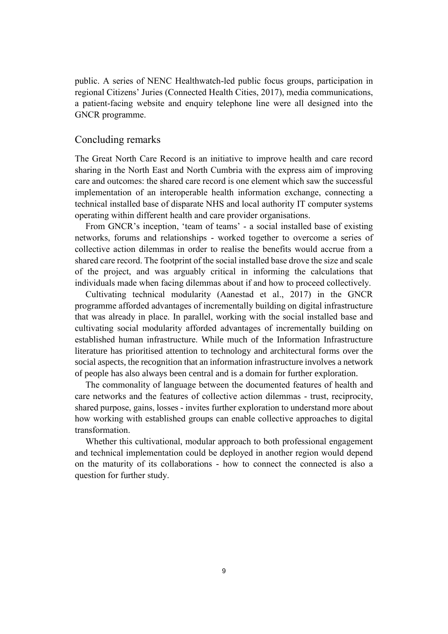public. A series of NENC Healthwatch-led public focus groups, participation in regional Citizens' Juries (Connected Health Cities, 2017), media communications, a patient-facing website and enquiry telephone line were all designed into the GNCR programme.

#### Concluding remarks

The Great North Care Record is an initiative to improve health and care record sharing in the North East and North Cumbria with the express aim of improving care and outcomes: the shared care record is one element which saw the successful implementation of an interoperable health information exchange, connecting a technical installed base of disparate NHS and local authority IT computer systems operating within different health and care provider organisations.

From GNCR's inception, 'team of teams' - a social installed base of existing networks, forums and relationships - worked together to overcome a series of collective action dilemmas in order to realise the benefits would accrue from a shared care record. The footprint of the social installed base drove the size and scale of the project, and was arguably critical in informing the calculations that individuals made when facing dilemmas about if and how to proceed collectively.

Cultivating technical modularity (Aanestad et al., 2017) in the GNCR programme afforded advantages of incrementally building on digital infrastructure that was already in place. In parallel, working with the social installed base and cultivating social modularity afforded advantages of incrementally building on established human infrastructure. While much of the Information Infrastructure literature has prioritised attention to technology and architectural forms over the social aspects, the recognition that an information infrastructure involves a network of people has also always been central and is a domain for further exploration.

The commonality of language between the documented features of health and care networks and the features of collective action dilemmas - trust, reciprocity, shared purpose, gains, losses - invites further exploration to understand more about how working with established groups can enable collective approaches to digital transformation.

Whether this cultivational, modular approach to both professional engagement and technical implementation could be deployed in another region would depend on the maturity of its collaborations - how to connect the connected is also a question for further study.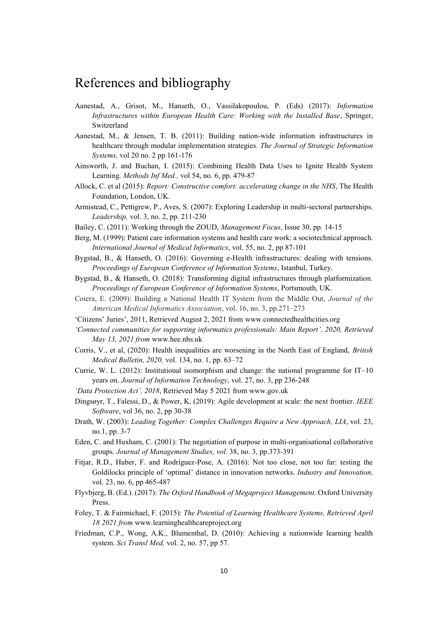# References and bibliography

- Aanestad, A., Grisot, M., Hanseth, O., Vassilakopoulou, P. (Eds) (2017): *Information Infrastructures within European Health Care: Working with the Installed Base*, Springer, Switzerland
- Aanestad, M., & Jensen, T. B. (2011): Building nation-wide information infrastructures in healthcare through modular implementation strategies. *The Journal of Strategic Information Systems,* vol 20 no. 2 pp 161-176
- Ainsworth, J. and Buchan, I. (2015): Combining Health Data Uses to Ignite Health System Learning. *Methods Inf Med.,* vol 54, no. 6, pp. 479-87
- Allock, C. et al (2015): *Report: Constructive comfort: accelerating change in the NHS*, The Health Foundation, London, UK.
- Armistead, C., Pettigrew, P., Aves, S. (2007): Exploring Leadership in multi-sectoral partnerships. *Leadership,* vol. 3, no. 2, pp. 211-230
- Bailey, C. (2011): Working through the ZOUD, *Management Focus*, Issue 30, pp. 14-15
- Berg, M. (1999): Patient care information systems and health care work: a sociotechnical approach. *International Journal of Medical Informatics*, vol. 55, no. 2, pp 87-101
- Bygstad, B., & Hanseth, O. (2016): Governing e-Health infrastructures: dealing with tensions. *Proceedings of European Conference of Information Systems*, Istanbul, Turkey.
- Bygstad, B., & Hanseth, O. (2018): Transforming digital infrastructures through platformization. *Proceedings of European Conference of Information Systems*, Portsmouth, UK.
- Coiera, E. (2009): Building a National Health IT System from the Middle Out, *Journal of the American Medical Informatics Association*, vol. 16, no. 3, pp.271–273
- 'Citizens' Juries', 2011, Retrieved August 2, 2021 from www.connectedhealthcities.org
- *'Connected communities for supporting informatics professionals: Main Report', 2020, Retrieved May 13, 2021 from* www.hee.nhs.uk
- Corris, V., et al, (2020): Health inequalities are worsening in the North East of England, *British Medical Bulletin, 2020,* vol. 134, no. 1, pp. 63–72
- Currie, W. L. (2012): Institutional isomorphism and change: the national programme for IT–10 years on. *Journal of Information Technology*, vol. 27, no. 3, pp 236-248
- *'Data Protection Act', 2018*, Retrieved May 5 2021 from www.gov.uk
- Dingsøyr, T., Falessi, D., & Power, K. (2019): Agile development at scale: the next frontier. *IEEE Software*, vol 36, no. 2, pp 30-38
- Drath, W. (2003): *Leading Together: Complex Challenges Require a New Approach, LIA*, vol. 23, no.1, pp. 3-7
- Eden, C. and Huxham, C. (2001): The negotiation of purpose in multi-organisational collaborative groups. *Journal of Management Studies, vol.* 38, no. 3, pp.373-391
- Fitjar, R.D., Huber, F. and Rodríguez-Pose, A. (2016): Not too close, not too far: testing the Goldilocks principle of 'optimal' distance in innovation networks. *Industry and Innovation,* vol. 23, no. 6, pp 465-487
- Flyvbjerg, B. (Ed.). (2017): *The Oxford Handbook of Megaproject Management*. Oxford University Press.
- Foley, T. & Fairmichael, F. (2015): *The Potential of Learning Healthcare Systems, Retrieved April 18 2021 from* www.learninghealthcareproject.org
- Friedman, C.P., Wong, A.K., Blumenthal, D. (2010): Achieving a nationwide learning health system. *Sci Transl Med,* vol. 2, no. 57, pp 57.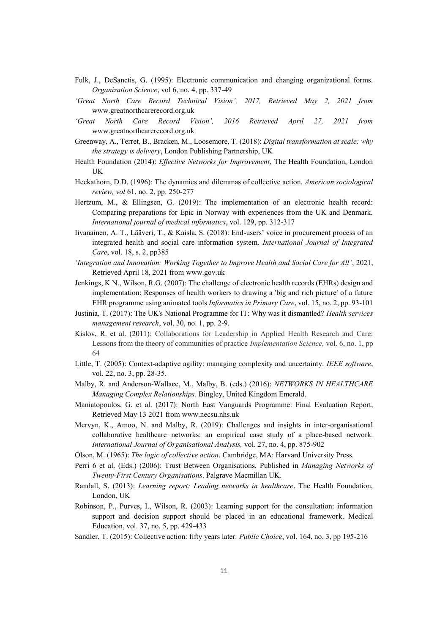- Fulk, J., DeSanctis, G. (1995): Electronic communication and changing organizational forms. *Organization Science*, vol 6, no. 4, pp. 337-49
- *'Great North Care Record Technical Vision', 2017, Retrieved May 2, 2021 from* www.greatnorthcarerecord.org.uk
- *'Great North Care Record Vision', 2016 Retrieved April 27, 2021 from*  www.greatnorthcarerecord.org.uk
- Greenway, A., Terret, B., Bracken, M., Loosemore, T. (2018): *Digital transformation at scale: why the strategy is delivery*, London Publishing Partnership, UK
- Health Foundation (2014): *Effective Networks for Improvement*, The Health Foundation, London UK
- Heckathorn, D.D. (1996): The dynamics and dilemmas of collective action. *American sociological review, vol* 61, no. 2, pp. 250-277
- Hertzum, M., & Ellingsen, G. (2019): The implementation of an electronic health record: Comparing preparations for Epic in Norway with experiences from the UK and Denmark. *International journal of medical informatics*, vol. 129, pp. 312-317
- Iivanainen, A. T., Lääveri, T., & Kaisla, S. (2018): End-users' voice in procurement process of an integrated health and social care information system. *International Journal of Integrated Care*, vol. 18, s. 2, pp385
- *'Integration and Innovation: Working Together to Improve Health and Social Care for All'*, 2021, Retrieved April 18, 2021 from www.gov.uk
- Jenkings, K.N., Wilson, R.G. (2007): [The challenge of electronic health records \(EHRs\) design and](https://www.scopus.com/record/display.uri?eid=2-s2.0-34547869577&origin=reflist&sort=plf-f&src=s&sid=4d337613cbe0fb18f53e7d4bf0975a34&sot=b&sdt=b&sl=76&s=%28TITLE-ABS-KEY%28%22health+informatics%22+%2b+%22end-user%22%29+AND+AUTHOR-NAME%28jenkings%29%29)  [implementation: Responses of health workers to drawing a 'big and rich picture' of a future](https://www.scopus.com/record/display.uri?eid=2-s2.0-34547869577&origin=reflist&sort=plf-f&src=s&sid=4d337613cbe0fb18f53e7d4bf0975a34&sot=b&sdt=b&sl=76&s=%28TITLE-ABS-KEY%28%22health+informatics%22+%2b+%22end-user%22%29+AND+AUTHOR-NAME%28jenkings%29%29)  [EHR programme using animated tools](https://www.scopus.com/record/display.uri?eid=2-s2.0-34547869577&origin=reflist&sort=plf-f&src=s&sid=4d337613cbe0fb18f53e7d4bf0975a34&sot=b&sdt=b&sl=76&s=%28TITLE-ABS-KEY%28%22health+informatics%22+%2b+%22end-user%22%29+AND+AUTHOR-NAME%28jenkings%29%29) *Informatics in Primary Care*, vol. 15, no. 2, pp. 93-101
- Justinia, T. (2017): The UK's National Programme for IT: Why was it dismantled? *Health services management research*, vol. 30, no. 1, pp. 2-9.
- Kislov, R. et al. (2011): Collaborations for Leadership in Applied Health Research and Care: Lessons from the theory of communities of practice *Implementation Science,* vol. 6, no. 1, pp 64
- Little, T. (2005): Context-adaptive agility: managing complexity and uncertainty. *IEEE software*, vol. 22, no. 3, pp. 28-35.
- Malby, R. and Anderson-Wallace, M., Malby, B. (eds.) (2016): *NETWORKS IN HEALTHCARE Managing Complex Relationships.* Bingley, United Kingdom Emerald.
- Maniatopoulos, G. et al. (2017): North East Vanguards Programme: Final Evaluation Report, Retrieved May 13 2021 from www.necsu.nhs.uk
- Mervyn, K., Amoo, N. and Malby, R. (2019): Challenges and insights in inter-organisational collaborative healthcare networks: an empirical case study of a place-based network. *International Journal of Organisational Analysis,* vol. 27, no. 4, pp. 875-902
- Olson, M. (1965): *The logic of collective action*. Cambridge, MA: Harvard University Press.
- Perri 6 et al. (Eds.) (2006): Trust Between Organisations. Published in *Managing Networks of Twenty-First Century Organisations*. Palgrave Macmillan UK.
- Randall, S. (2013): *Learning report: Leading networks in healthcare*. The Health Foundation, London, UK
- Robinson, P., Purves, I., Wilson, R. (2003): Learning support for the consultation: information support and decision support should be placed in an educational framework. Medical Education, vol. 37, no. 5, pp. 429-433
- Sandler, T. (2015): Collective action: fifty years later*. Public Choice*, vol. 164, no. 3, pp 195-216